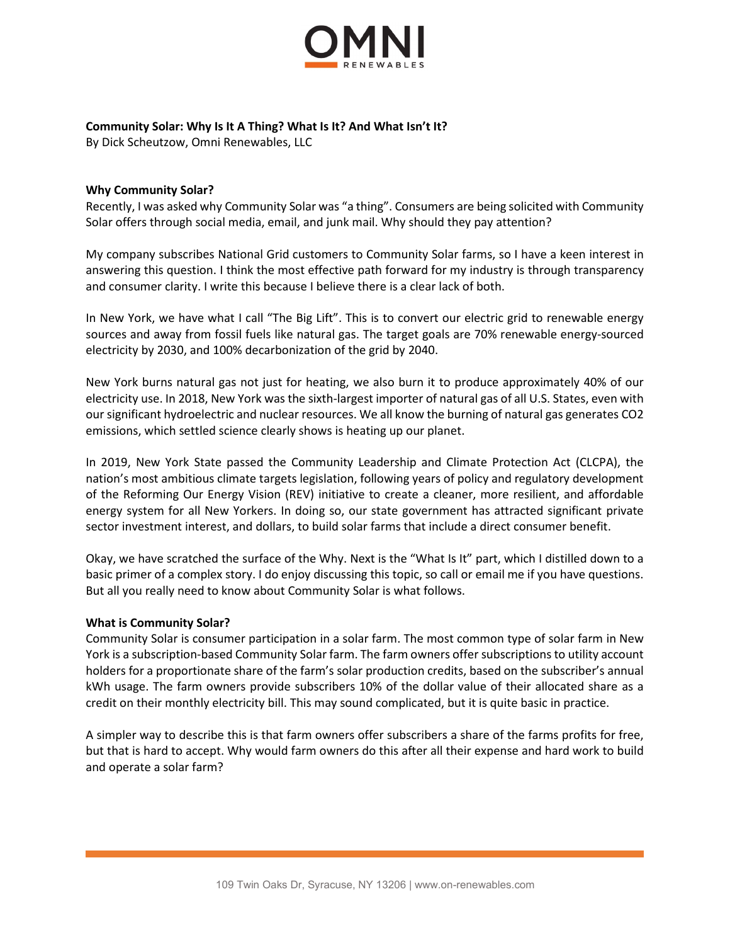

## **Community Solar: Why Is It A Thing? What Is It? And What Isn't It?**

By Dick Scheutzow, Omni Renewables, LLC

## **Why Community Solar?**

Recently, I was asked why Community Solar was "a thing". Consumers are being solicited with Community Solar offers through social media, email, and junk mail. Why should they pay attention?

My company subscribes National Grid customers to Community Solar farms, so I have a keen interest in answering this question. I think the most effective path forward for my industry is through transparency and consumer clarity. I write this because I believe there is a clear lack of both.

In New York, we have what I call "The Big Lift". This is to convert our electric grid to renewable energy sources and away from fossil fuels like natural gas. The target goals are 70% renewable energy-sourced electricity by 2030, and 100% decarbonization of the grid by 2040.

New York burns natural gas not just for heating, we also burn it to produce approximately 40% of our electricity use. In 2018, New York was the sixth-largest importer of natural gas of all U.S. States, even with our significant hydroelectric and nuclear resources. We all know the burning of natural gas generates CO2 emissions, which settled science clearly shows is heating up our planet.

In 2019, New York State passed the Community Leadership and Climate Protection Act (CLCPA), the nation's most ambitious climate targets legislation, following years of policy and regulatory development of the Reforming Our Energy Vision (REV) initiative to create a cleaner, more resilient, and affordable energy system for all New Yorkers. In doing so, our state government has attracted significant private sector investment interest, and dollars, to build solar farms that include a direct consumer benefit.

Okay, we have scratched the surface of the Why. Next is the "What Is It" part, which I distilled down to a basic primer of a complex story. I do enjoy discussing this topic, so call or email me if you have questions. But all you really need to know about Community Solar is what follows.

## **What is Community Solar?**

Community Solar is consumer participation in a solar farm. The most common type of solar farm in New York is a subscription-based Community Solar farm. The farm owners offer subscriptions to utility account holders for a proportionate share of the farm's solar production credits, based on the subscriber's annual kWh usage. The farm owners provide subscribers 10% of the dollar value of their allocated share as a credit on their monthly electricity bill. This may sound complicated, but it is quite basic in practice.

A simpler way to describe this is that farm owners offer subscribers a share of the farms profits for free, but that is hard to accept. Why would farm owners do this after all their expense and hard work to build and operate a solar farm?